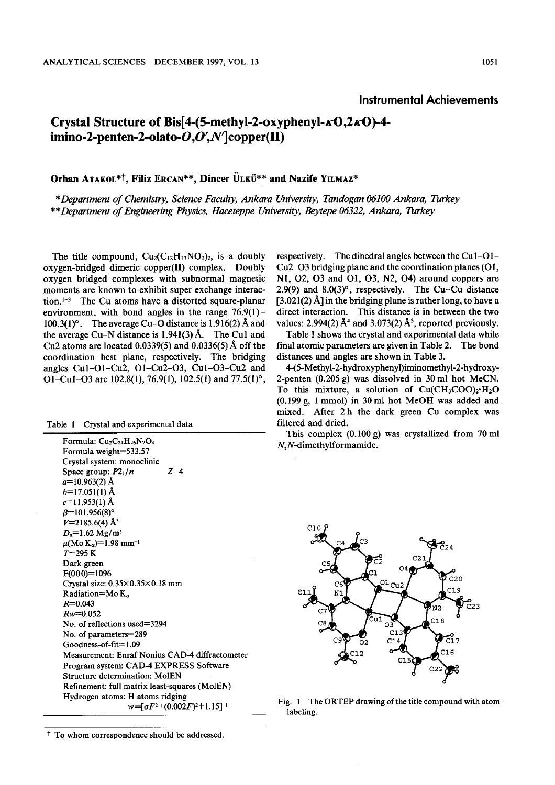## Instrumental Achievements

## Crystal Structure of Bis[4-(5-methyl-2-oxyphenyl- $\kappa$ O,2 $\kappa$ O)-4imino-2-penten-2-olato- $O, O', N'$  copper(II)

## Orhan ATAKOL<sup>\*†</sup>, Filiz ERCAN<sup>\*\*</sup>, Dincer ULKU<sup>\*\*</sup> and Nazife YILMAZ<sup>\*</sup>

\*Department of Chemistry , Science Faculty, Ankara University, Tandogan 06100 Ankara, Turkey \*\*Department of Engineering Physics , Haceteppe University, Beytepe 06322, Ankara, Turkey

The title compound,  $Cu_2(C_{12}H_{13}NO_2)_2$ , is a doubly oxygen-bridged dimeric copper(II) complex. Doubly oxygen bridged complexes with subnormal magnetic moments are known to exhibit super exchange interaction.<sup>1-3</sup> The Cu atoms have a distorted square-planar environment, with bond angles in the range  $76.9(1)$  -100.3(1)°. The average Cu-O distance is 1.916(2) Å and the average Cu-N distance is  $1.941(3)$  Å. The Cu1 and Cu2 atoms are located  $0.0339(5)$  and  $0.0336(5)$  Å off the coordination best plane, respectively. The bridging angles Cu1-O1-Cu2, O1-Cu2-O3, Cu1-O3-Cu2 and 01-Cut-03 are 102.8(1), 76.9(1), 102.5(1) and 77.5(1)°.

| Crystal and experimental data<br>Table 1 |
|------------------------------------------|
|------------------------------------------|

| Formula: $Cu2C24H26N2O4$                        |
|-------------------------------------------------|
| Formula weight=533.57                           |
| Crystal system: monoclinic                      |
| Space group: $P2_1/n$<br>$7 = 4$                |
| $a=10.963(2)$ Å                                 |
| $b=17.051(1)$ Å                                 |
| $c=11.953(1)$ Å                                 |
| $\beta = 101.956(8)^{\circ}$                    |
| $V=2185.6(4)$ Å <sup>3</sup>                    |
| $D_x = 1.62$ Mg/m <sup>3</sup>                  |
| $\mu(Mo\ K_{\alpha})=1.98\ mm^{-1}$             |
| $T = 295 K$                                     |
| Dark green                                      |
| $F(000)=1096$                                   |
| Crystal size: $0.35 \times 0.35 \times 0.18$ mm |
| Radiation=Mo $K_{\alpha}$                       |
| $R = 0.043$                                     |
| $Rw = 0.052$                                    |
| No. of reflections used=3294                    |
| No. of parameters=289                           |
| $Goodness-of-fit = 1.09$                        |
| Measurement: Enraf Nonius CAD-4 diffractometer  |
| Program system: CAD-4 EXPRESS Software          |
| <b>Structure determination: MoIEN</b>           |
| Refinement: full matrix least-squares (MolEN)   |
| Hydrogen atoms: H atoms ridging                 |
| $w = 56F^2 + (0.002F)^2 + 1.15$ ]               |

respectively. The dihedral angles between the Cul-O1- Cu2-03 bridging plane and the coordination planes (O1, N1, O2, O3 and O1, O3, N2, O4) around coppers are 2.9(9) and  $8.0(3)^\circ$ , respectively. The Cu-Cu distance  $[3.021(2)$  Å] in the bridging plane is rather long, to have a direct interaction. This distance is in between the two values: 2.994(2)  $\AA^4$  and 3.073(2)  $\AA^5$ , reported previously.

Table 1 shows the crystal and experimental data while final atomic parameters are given in Table 2. The bond distances and angles are shown in Table 3.

4-(5-Methyl-2-hydroxyphenyl)iminomethyl-2-hydroxy-2-penten (0.205 g) was dissolved in 30 ml hot McCN. To this mixture, a solution of  $Cu(CH_3COO)_2 \cdot H_2O$ (0.199 g, 1 mmol) in 30 ml hot McOH was added and mixed. After 2 h the dark green Cu complex was filtered and dried.

This complex (0.100 g) was crystallized from 70 ml  $N.N$ -dimethylformamide.



Fig. 1 The ORTEP drawing of the title compound with atom labeling.

<sup>&</sup>lt;sup>†</sup> To whom correspondence should be addressed.